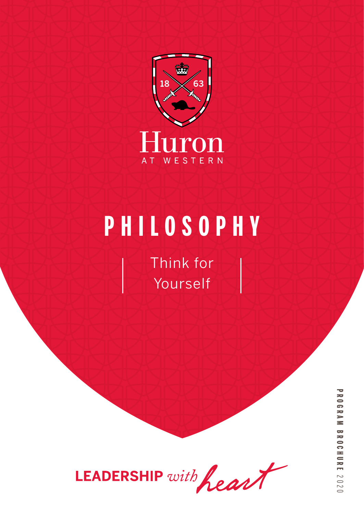

# **PHILOSOPHY**

Think for Yourself



**PROGRAM BROCHUREPROGRAM BROCHURE 2020**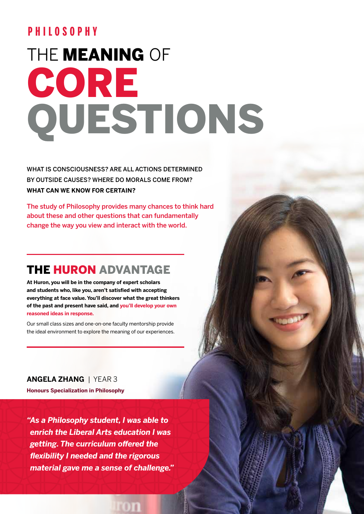### **PHILOSOPHY**

# THE **MEANING** OF CORE QUESTIONS

WHAT IS CONSCIOUSNESS? ARE ALL ACTIONS DETERMINED BY OUTSIDE CAUSES? WHERE DO MORALS COME FROM? **WHAT CAN WE KNOW FOR CERTAIN?** 

The study of Philosophy provides many chances to think hard about these and other questions that can fundamentally change the way you view and interact with the world.

# THE HURON ADVANTAGE

**At Huron, you will be in the company of expert scholars and students who, like you, aren't satisfied with accepting everything at face value. You'll discover what the great thinkers of the past and present have said, and you'll develop your own reasoned ideas in response.**

Our small class sizes and one-on-one faculty mentorship provide the ideal environment to explore the meaning of our experiences.

**ANGELA ZHANG** | YEAR 3 **Honours Specialization in Philosophy** 

*"As a Philosophy student, I was able to enrich the Liberal Arts education I was getting. The curriculum offered the flexibility I needed and the rigorous material gave me a sense of challenge."*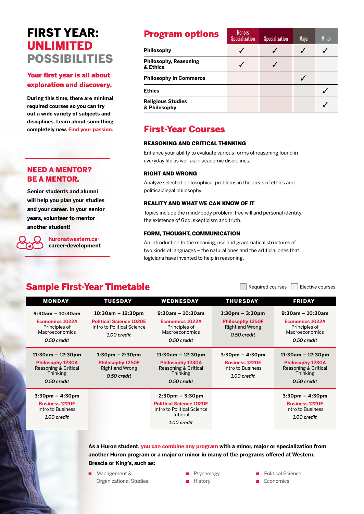# FIRST YEAR: UNLIMITED POSSIBILITIES

### Your first year is all about exploration and discovery.

**During this time, there are minimal required courses so you can try out a wide variety of subjects and disciplines. Learn about something completely new. Find your passion.** First-Year Courses

### NEED A MENTOR? BE A MENTOR.

**Senior students and alumni will help you plan your studies and your career. In your senior years, volunteer to mentor another student!** 

> **huronatwestern.ca**/ **career-development**

| <b>Program options</b>                   | <b>Honors</b><br><b>Specialization</b> | <b>Specialization</b> | <b>Major</b> | <b>Minor</b> |
|------------------------------------------|----------------------------------------|-----------------------|--------------|--------------|
| <b>Philosophy</b>                        |                                        |                       |              |              |
| <b>Philosophy, Reasoning</b><br>& Ethics |                                        |                       |              |              |
| <b>Philosophy in Commerce</b>            |                                        |                       |              |              |
| <b>Ethics</b>                            |                                        |                       |              |              |
| <b>Religious Studies</b><br>& Philosophy |                                        |                       |              |              |

### REASONING AND CRITICAL THINKING

Enhance your ability to evaluate various forms of reasoning found in everyday life as well as in academic disciplines.

### RIGHT AND WRONG

Analyze selected philosophical problems in the areas of ethics and political/legal philosophy.

### REALITY AND WHAT WE CAN KNOW OF IT

Topics include the mind/body problem, free will and personal identity, the existence of God, skepticism and truth.

### FORM, THOUGHT, COMMUNICATION

An introduction to the meaning, use and grammatical structures of two kinds of languages – the natural ones and the artificial ones that logicians have invented to help in reasoning.

### Sample First-Year Timetable **Sample First-Year Timetable**

| <b>MONDAY</b>                                                                                                | <b>TUESDAY</b>                                                                                      | WEDNESDAY                                                                                                                    | <b>THURSDAY</b>                                                                                | <b>FRIDAY</b>                                                                                            |
|--------------------------------------------------------------------------------------------------------------|-----------------------------------------------------------------------------------------------------|------------------------------------------------------------------------------------------------------------------------------|------------------------------------------------------------------------------------------------|----------------------------------------------------------------------------------------------------------|
| $9:30am - 10:30am$<br><b>Economics 1022A</b><br>Principles of<br>Macroeconomics<br>0.50 credit               | $10:30$ am – 12:30pm<br><b>Political Science 1020E</b><br>Intro to Political Science<br>1.00 credit | $9:30am - 10:30am$<br><b>Economics 1022A</b><br>Principles of<br>Macroeconomics<br>0.50 credit                               | $1:30$ pm – $3:30$ pm<br><b>Philosophy 1250F</b><br><b>Right and Wrong</b><br>0.50 credit      | $9:30am - 10:30am$<br><b>Economics 1022A</b><br>Principles of<br><b>Macroeconomics</b><br>0.50 credit    |
| $11:30$ am – $12:30$ pm<br><b>Philosophy 1230A</b><br>Reasoning & Critical<br><b>Thinking</b><br>0.50 credit | $1:30$ pm – 2:30pm<br><b>Philosophy 1250F</b><br><b>Right and Wrong</b><br>0.50 credit              | $11:30am - 12:30pm$<br><b>Philosophy 1230A</b><br>Reasoning & Critical<br><b>Thinking</b><br>0.50 credit                     | $3:30 \text{pm} - 4:30 \text{pm}$<br><b>Business 1220E</b><br>Intro to Business<br>1.00 credit | $11:30am - 12:30pm$<br><b>Philosophy 1230A</b><br>Reasoning & Critical<br><b>Thinking</b><br>0.50 credit |
| $3:30 \text{pm} - 4:30 \text{pm}$<br><b>Business 1220E</b><br>Intro to Business<br>1.00 credit               |                                                                                                     | $2:30 \text{pm} - 3:30 \text{pm}$<br><b>Political Science 1020E</b><br>Intro to Political Science<br>Tutorial<br>1.00 credit |                                                                                                | $3:30 \text{pm} - 4:30 \text{pm}$<br><b>Business 1220E</b><br>Intro to Business<br>1.00 credit           |

**As a Huron student, you can combine any program with a minor, major or specialization from another Huron program or a major or minor in many of the programs offered at Western, Brescia or King's, such as:**

■ Management & Organizational Studies ■ Psychology

- History
- Political Science
- **Economics**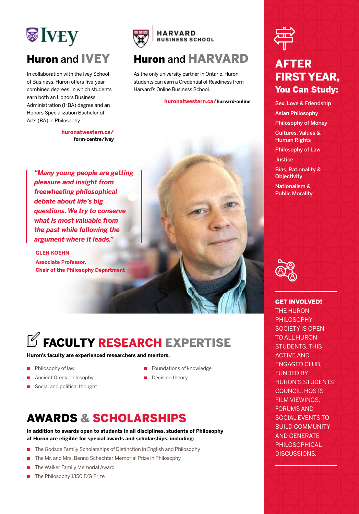# **SIVEY** Huron and IVEY

In collaboration with the Ivey School of Business, Huron offers five-year combined degrees, in which students earn both an Honors Business Administration (HBA) degree and an Honors Specialization Bachelor of Arts (BA) in Philosophy.

> **huronatwestern.ca/ form-centre/ivey**



## Huron and HARVARD

As the only university partner in Ontario, Huron students can earn a Credential of Readiness from Harvard's Online Business School.

### **huronatwestern.ca/harvard-online**

*"Many young people are getting pleasure and insight from freewheeling philosophical debate about life's big questions. We try to conserve what is most valuable from the past while following the argument where it leads."*

**GLEN KOEHN Associate Professor, Chair of the Philosophy Department**

# $\mathbb Z$  FACULTY RESEARCH EXPERTISE

#### **Huron's faculty are experienced researchers and mentors.**

- Philosophy of law
- Ancient Greek philosophy
- Social and political thought
- Foundations of knowledge
- Decision theory

# AWARDS & SCHOLARSHIPS

**In addition to awards open to students in all disciplines, students of Philosophy at Huron are eligible for special awards and scholarships, including:** 

- The Godsoe Family Scholarships of Distinction in English and Philosophy
- The Mr. and Mrs. Benno Schachter Memorial Prize in Philosophy
- The Walker Family Memorial Award
- The Philosophy 1350 F/G Prize



# AFTER FIRST YEAR, You Can Study:

Sex, Love & Friendship Asian Philosophy Philosophy of Money Cultures, Values & Human Rights Philosophy of Law **Justice** Bias, Rationality & **Objectivity** Nationalism & Public Morality



GET INVOLVED! THE HURON PHILOSOPHY SOCIETY IS OPEN TO ALL HURON STUDENTS, THIS ACTIVE AND ENGAGED CLUB, FUNDED BY HURON'S STUDENTS' COUNCIL, HOSTS FILM VIEWINGS, FORUMS AND SOCIAL EVENTS TO BUILD COMMUNITY AND GENERATE PHILOSOPHICAL DISCUSSIONS.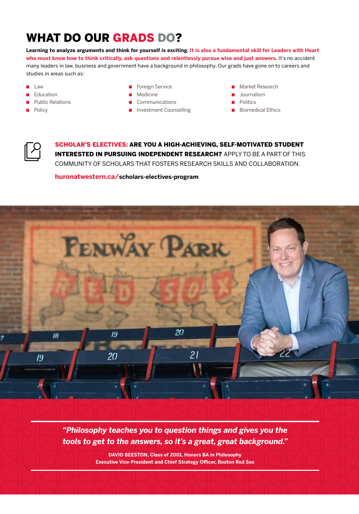# WHAT DO OUR GRADS DO?

**Learning to analyze arguments and think for yourself is exciting. It is also a fundamental skill for Leaders with Heart who must know how to think critically, ask questions and relentlessly pursue wise and just answers.** It's no accident many leaders in law, business and government have a background in philosophy. Our grads have gone on to careers and studies in areas such as:

- $\blacksquare$  Law
- Education
- **Public Relations**
- **Policy**
- Foreign Service
- Medicine
- Communications
- Investment Counselling
- Market Research
- Journalism
- Politics
- Biomedical Ethics



SCHOLAR'S ELECTIVES: ARE YOU A HIGH-ACHIEVING, SELF-MOTIVATED STUDENT INTERESTED IN PURSUING INDEPENDENT RESEARCH? APPLY TO BE A PART OF THIS COMMUNITY OF SCHOLARS THAT FOSTERS RESEARCH SKILLS AND COLLABORATION.

**huronatwestern.ca/scholars-electives-program**



*"Philosophy teaches you to question things and gives you the tools to get to the answers, so it's a great, great background."* 

> **DAVID BEESTON, Class of 2001, Honors BA in Philosophy Executive Vice-President and Chief Strategy Officer, Boston Red Sox**